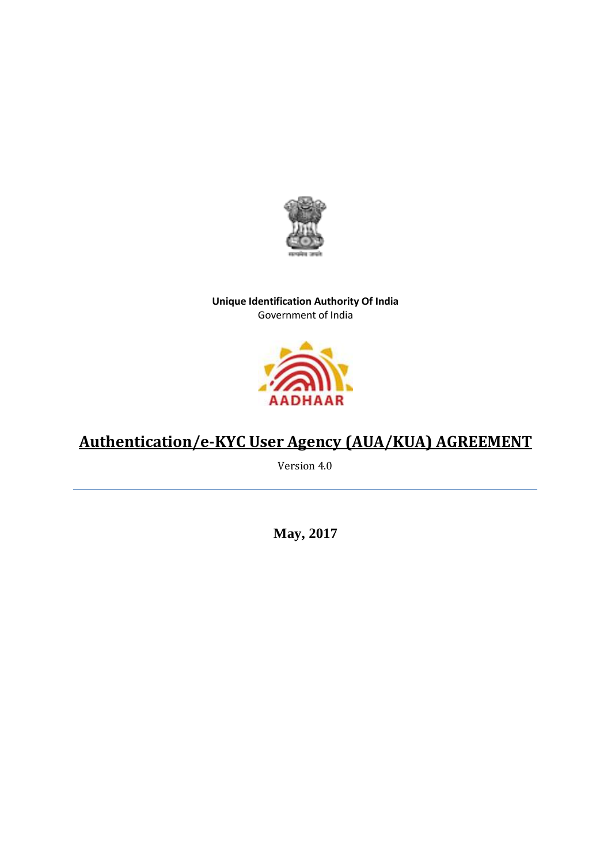

# **Unique Identification Authority Of India** Government of India



# **Authentication/e-KYC User Agency (AUA/KUA) AGREEMENT**

Version 4.0

**May, 2017**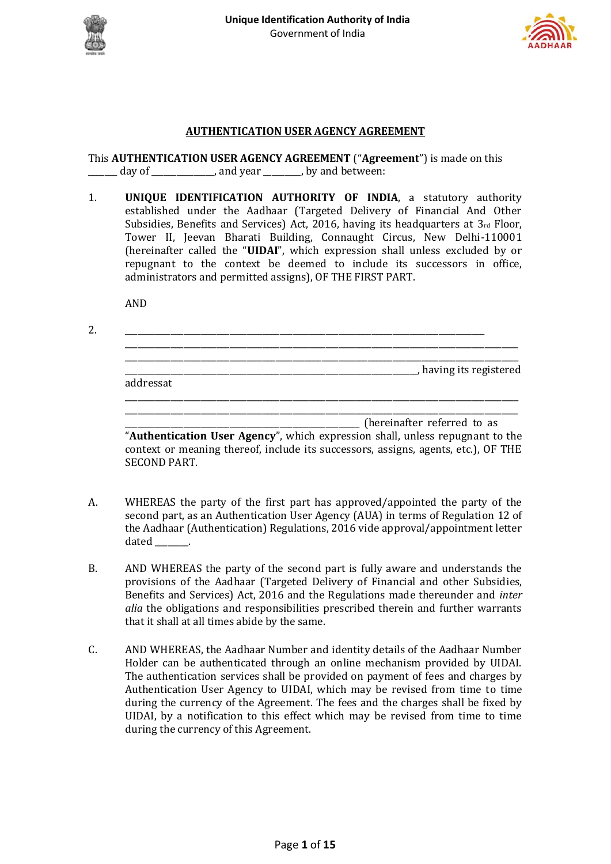



# **AUTHENTICATION USER AGENCY AGREEMENT**

This **AUTHENTICATION USER AGENCY AGREEMENT** ("**Agreement**") is made on this day of \_\_\_\_\_\_\_\_\_\_\_\_\_\_, and year \_\_\_\_\_\_\_, by and between:

1. **UNIQUE IDENTIFICATION AUTHORITY OF INDIA**, a statutory authority established under the Aadhaar (Targeted Delivery of Financial And Other Subsidies, Benefits and Services) Act, 2016, having its headquarters at  $3<sub>rd</sub>$  Floor, Tower II, Jeevan Bharati Building, Connaught Circus, New Delhi-110001 (hereinafter called the "**UIDAI**", which expression shall unless excluded by or repugnant to the context be deemed to include its successors in office, administrators and permitted assigns), OF THE FIRST PART.

AND

2. \_\_\_\_\_\_\_\_\_\_\_\_\_\_\_\_\_\_\_\_\_\_\_\_\_\_\_\_\_\_\_\_\_\_\_\_\_\_\_\_\_\_\_\_\_\_\_\_\_\_\_\_\_\_\_\_\_\_\_\_\_\_\_\_\_\_\_\_\_\_\_\_\_\_\_\_\_\_\_\_\_\_\_\_\_\_

\_\_\_\_\_\_\_\_\_\_\_\_\_\_\_\_\_\_\_\_\_\_\_\_\_\_\_\_\_\_\_\_\_\_\_\_\_\_\_\_\_\_\_\_\_\_\_\_\_\_\_\_\_\_\_\_\_\_\_\_\_\_\_\_\_\_\_\_\_\_\_\_\_\_\_\_\_\_\_\_\_\_\_\_\_\_\_\_\_\_\_\_\_\_ \_\_\_\_\_\_\_\_\_\_\_\_\_\_\_\_\_\_\_\_\_\_\_\_\_\_\_\_\_\_\_\_\_\_\_\_\_\_\_\_\_\_\_\_\_\_\_\_\_\_\_\_\_\_\_\_\_\_\_\_\_\_\_\_\_\_\_\_\_\_\_\_\_\_\_\_\_\_\_\_\_\_\_\_\_\_\_\_\_\_\_\_\_\_ \_\_\_\_\_\_\_\_\_\_\_\_\_\_\_\_\_\_\_\_\_\_\_\_\_\_\_\_\_\_\_\_\_\_\_\_\_\_\_\_\_\_\_\_\_\_\_\_\_\_\_\_\_\_\_\_\_\_\_\_\_\_\_\_\_\_\_\_\_\_, having its registered addressat \_\_\_\_\_\_\_\_\_\_\_\_\_\_\_\_\_\_\_\_\_\_\_\_\_\_\_\_\_\_\_\_\_\_\_\_\_\_\_\_\_\_\_\_\_\_\_\_\_\_\_\_\_\_\_\_\_\_\_\_\_\_\_\_\_\_\_\_\_\_\_\_\_\_\_\_\_\_\_\_\_\_\_\_\_\_\_\_\_\_\_\_\_\_ \_\_\_\_\_\_\_\_\_\_\_\_\_\_\_\_\_\_\_\_\_\_\_\_\_\_\_\_\_\_\_\_\_\_\_\_\_\_\_\_\_\_\_\_\_\_\_\_\_\_\_\_\_\_\_\_\_\_\_\_\_\_\_\_\_\_\_\_\_\_\_\_\_\_\_\_\_\_\_\_\_\_\_\_\_\_\_\_\_\_\_\_\_\_

\_\_\_\_\_\_\_\_\_\_\_\_\_\_\_\_\_\_\_\_\_\_\_\_\_\_\_\_\_\_\_\_\_\_\_\_\_\_\_\_\_\_\_\_\_\_\_\_\_\_\_\_\_\_\_\_ (hereinafter referred to as "**Authentication User Agency**", which expression shall, unless repugnant to the context or meaning thereof, include its successors, assigns, agents, etc.), OF THE SECOND PART.

- A. WHEREAS the party of the first part has approved/appointed the party of the second part, as an Authentication User Agency (AUA) in terms of Regulation 12 of the Aadhaar (Authentication) Regulations, 2016 vide approval/appointment letter  $dataed$  \_\_\_\_\_\_\_.
- B. AND WHEREAS the party of the second part is fully aware and understands the provisions of the Aadhaar (Targeted Delivery of Financial and other Subsidies, Benefits and Services) Act, 2016 and the Regulations made thereunder and *inter alia* the obligations and responsibilities prescribed therein and further warrants that it shall at all times abide by the same.
- C. AND WHEREAS, the Aadhaar Number and identity details of the Aadhaar Number Holder can be authenticated through an online mechanism provided by UIDAI. The authentication services shall be provided on payment of fees and charges by Authentication User Agency to UIDAI, which may be revised from time to time during the currency of the Agreement. The fees and the charges shall be fixed by UIDAI, by a notification to this effect which may be revised from time to time during the currency of this Agreement.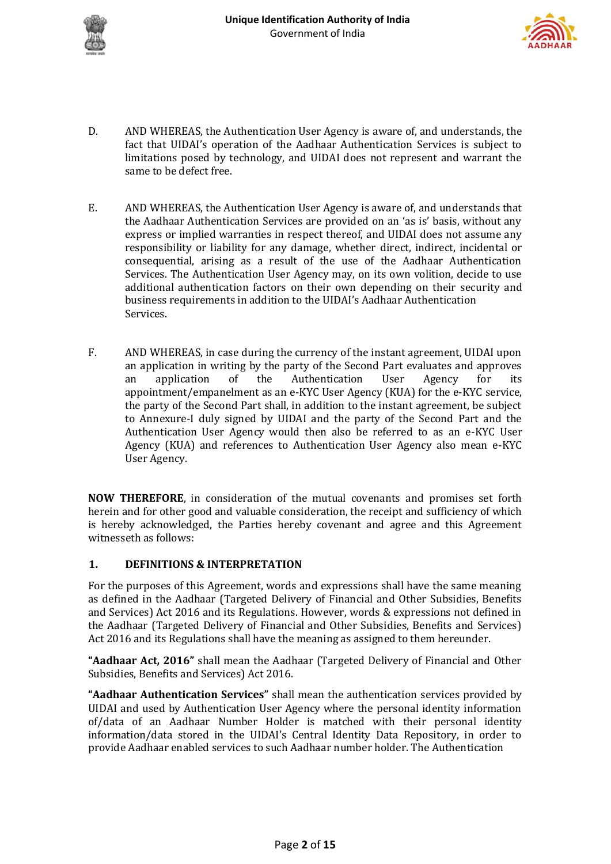



- D. AND WHEREAS, the Authentication User Agency is aware of, and understands, the fact that UIDAI's operation of the Aadhaar Authentication Services is subject to limitations posed by technology, and UIDAI does not represent and warrant the same to be defect free.
- E. AND WHEREAS, the Authentication User Agency is aware of, and understands that the Aadhaar Authentication Services are provided on an 'as is' basis, without any express or implied warranties in respect thereof, and UIDAI does not assume any responsibility or liability for any damage, whether direct, indirect, incidental or consequential, arising as a result of the use of the Aadhaar Authentication Services. The Authentication User Agency may, on its own volition, decide to use additional authentication factors on their own depending on their security and business requirements in addition to the UIDAI's Aadhaar Authentication Services.
- F. AND WHEREAS, in case during the currency of the instant agreement, UIDAI upon an application in writing by the party of the Second Part evaluates and approves an application of the Authentication User Agency for its appointment/empanelment as an e-KYC User Agency (KUA) for the e-KYC service, the party of the Second Part shall, in addition to the instant agreement, be subject to Annexure-I duly signed by UIDAI and the party of the Second Part and the Authentication User Agency would then also be referred to as an e-KYC User Agency (KUA) and references to Authentication User Agency also mean e-KYC User Agency.

**NOW THEREFORE**, in consideration of the mutual covenants and promises set forth herein and for other good and valuable consideration, the receipt and sufficiency of which is hereby acknowledged, the Parties hereby covenant and agree and this Agreement witnesseth as follows:

# **1. DEFINITIONS & INTERPRETATION**

For the purposes of this Agreement, words and expressions shall have the same meaning as defined in the Aadhaar (Targeted Delivery of Financial and Other Subsidies, Benefits and Services) Act 2016 and its Regulations. However, words & expressions not defined in the Aadhaar (Targeted Delivery of Financial and Other Subsidies, Benefits and Services) Act 2016 and its Regulations shall have the meaning as assigned to them hereunder.

**"Aadhaar Act, 2016"** shall mean the Aadhaar (Targeted Delivery of Financial and Other Subsidies, Benefits and Services) Act 2016.

**"Aadhaar Authentication Services"** shall mean the authentication services provided by UIDAI and used by Authentication User Agency where the personal identity information of/data of an Aadhaar Number Holder is matched with their personal identity information/data stored in the UIDAI's Central Identity Data Repository, in order to provide Aadhaar enabled services to such Aadhaar number holder. The Authentication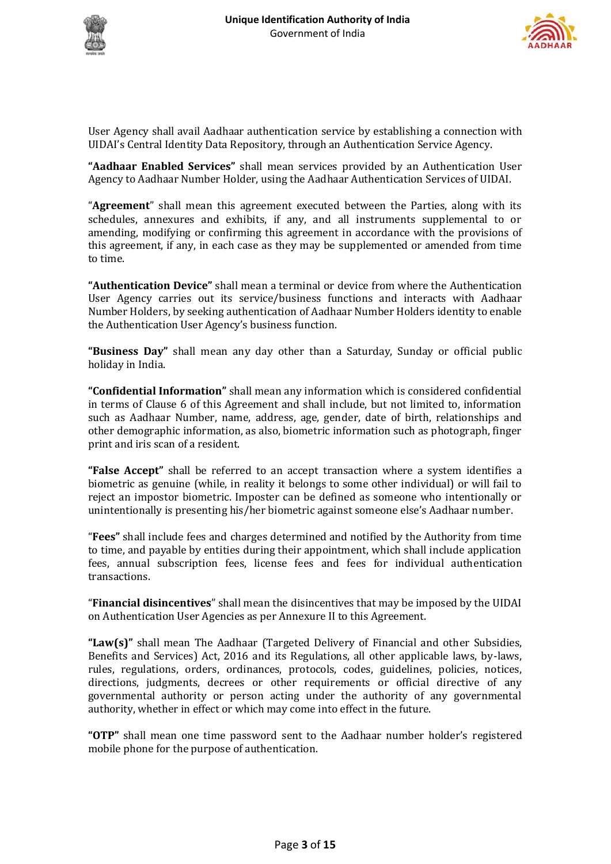



User Agency shall avail Aadhaar authentication service by establishing a connection with UIDAI's Central Identity Data Repository, through an Authentication Service Agency.

**"Aadhaar Enabled Services"** shall mean services provided by an Authentication User Agency to Aadhaar Number Holder, using the Aadhaar Authentication Services of UIDAI.

"**Agreement**" shall mean this agreement executed between the Parties, along with its schedules, annexures and exhibits, if any, and all instruments supplemental to or amending, modifying or confirming this agreement in accordance with the provisions of this agreement, if any, in each case as they may be supplemented or amended from time to time.

**"Authentication Device"** shall mean a terminal or device from where the Authentication User Agency carries out its service/business functions and interacts with Aadhaar Number Holders, by seeking authentication of Aadhaar Number Holders identity to enable the Authentication User Agency's business function.

**"Business Day"** shall mean any day other than a Saturday, Sunday or official public holiday in India.

**"Confidential Information"** shall mean any information which is considered confidential in terms of Clause 6 of this Agreement and shall include, but not limited to, information such as Aadhaar Number, name, address, age, gender, date of birth, relationships and other demographic information, as also, biometric information such as photograph, finger print and iris scan of a resident.

**"False Accept"** shall be referred to an accept transaction where a system identifies a biometric as genuine (while, in reality it belongs to some other individual) or will fail to reject an impostor biometric. Imposter can be defined as someone who intentionally or unintentionally is presenting his/her biometric against someone else's Aadhaar number.

"**Fees"** shall include fees and charges determined and notified by the Authority from time to time, and payable by entities during their appointment, which shall include application fees, annual subscription fees, license fees and fees for individual authentication transactions.

"**Financial disincentives**" shall mean the disincentives that may be imposed by the UIDAI on Authentication User Agencies as per Annexure II to this Agreement.

**"Law(s)"** shall mean The Aadhaar (Targeted Delivery of Financial and other Subsidies, Benefits and Services) Act, 2016 and its Regulations, all other applicable laws, by-laws, rules, regulations, orders, ordinances, protocols, codes, guidelines, policies, notices, directions, judgments, decrees or other requirements or official directive of any governmental authority or person acting under the authority of any governmental authority, whether in effect or which may come into effect in the future.

**"OTP"** shall mean one time password sent to the Aadhaar number holder's registered mobile phone for the purpose of authentication.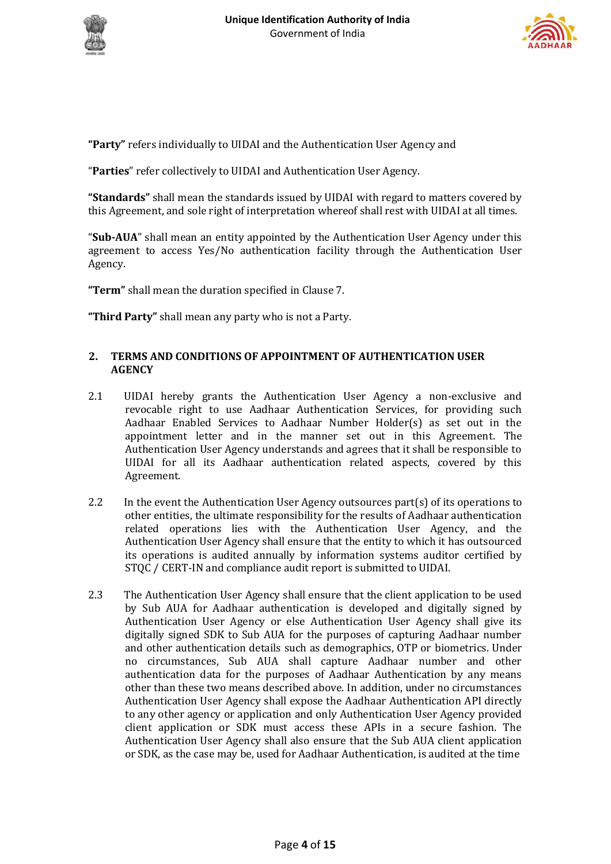



**"Party"** refers individually to UIDAI and the Authentication User Agency and

"**Parties**" refer collectively to UIDAI and Authentication User Agency.

**"Standards"** shall mean the standards issued by UIDAI with regard to matters covered by this Agreement, and sole right of interpretation whereof shall rest with UIDAI at all times.

"**Sub-AUA**" shall mean an entity appointed by the Authentication User Agency under this agreement to access Yes/No authentication facility through the Authentication User Agency.

**"Term"** shall mean the duration specified in Clause 7.

**"Third Party"** shall mean any party who is not a Party.

# **2. TERMS AND CONDITIONS OF APPOINTMENT OF AUTHENTICATION USER AGENCY**

- 2.1 UIDAI hereby grants the Authentication User Agency a non-exclusive and revocable right to use Aadhaar Authentication Services, for providing such Aadhaar Enabled Services to Aadhaar Number Holder(s) as set out in the appointment letter and in the manner set out in this Agreement. The Authentication User Agency understands and agrees that it shall be responsible to UIDAI for all its Aadhaar authentication related aspects, covered by this Agreement.
- 2.2 In the event the Authentication User Agency outsources part(s) of its operations to other entities, the ultimate responsibility for the results of Aadhaar authentication related operations lies with the Authentication User Agency, and the Authentication User Agency shall ensure that the entity to which it has outsourced its operations is audited annually by information systems auditor certified by STQC / CERT-IN and compliance audit report is submitted to UIDAI.
- 2.3 The Authentication User Agency shall ensure that the client application to be used by Sub AUA for Aadhaar authentication is developed and digitally signed by Authentication User Agency or else Authentication User Agency shall give its digitally signed SDK to Sub AUA for the purposes of capturing Aadhaar number and other authentication details such as demographics, OTP or biometrics. Under no circumstances, Sub AUA shall capture Aadhaar number and other authentication data for the purposes of Aadhaar Authentication by any means other than these two means described above. In addition, under no circumstances Authentication User Agency shall expose the Aadhaar Authentication API directly to any other agency or application and only Authentication User Agency provided client application or SDK must access these APIs in a secure fashion. The Authentication User Agency shall also ensure that the Sub AUA client application or SDK, as the case may be, used for Aadhaar Authentication, is audited at the time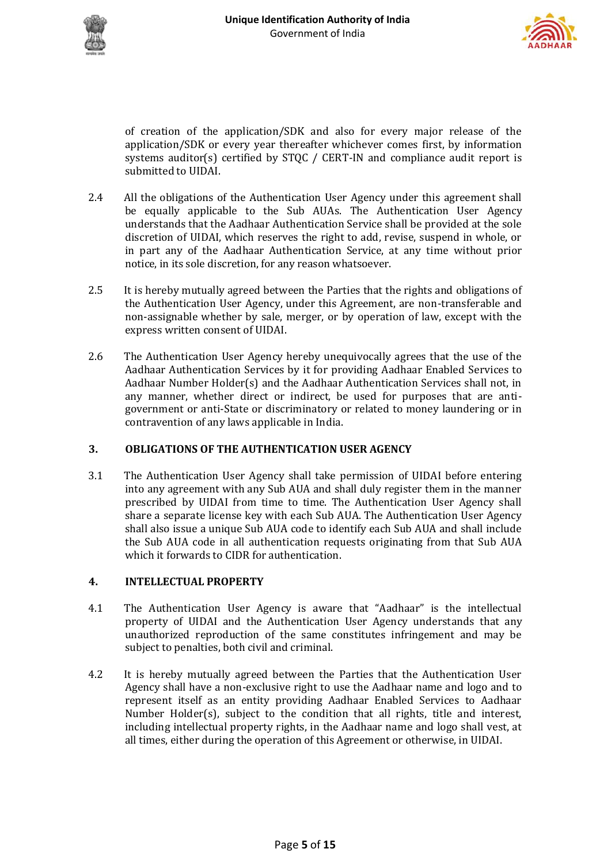



of creation of the application/SDK and also for every major release of the application/SDK or every year thereafter whichever comes first, by information systems auditor(s) certified by STQC / CERT-IN and compliance audit report is submitted to UIDAI.

- 2.4 All the obligations of the Authentication User Agency under this agreement shall be equally applicable to the Sub AUAs. The Authentication User Agency understands that the Aadhaar Authentication Service shall be provided at the sole discretion of UIDAI, which reserves the right to add, revise, suspend in whole, or in part any of the Aadhaar Authentication Service, at any time without prior notice, in its sole discretion, for any reason whatsoever.
- 2.5 It is hereby mutually agreed between the Parties that the rights and obligations of the Authentication User Agency, under this Agreement, are non-transferable and non-assignable whether by sale, merger, or by operation of law, except with the express written consent of UIDAI.
- 2.6 The Authentication User Agency hereby unequivocally agrees that the use of the Aadhaar Authentication Services by it for providing Aadhaar Enabled Services to Aadhaar Number Holder(s) and the Aadhaar Authentication Services shall not, in any manner, whether direct or indirect, be used for purposes that are antigovernment or anti-State or discriminatory or related to money laundering or in contravention of any laws applicable in India.

# **3. OBLIGATIONS OF THE AUTHENTICATION USER AGENCY**

3.1 The Authentication User Agency shall take permission of UIDAI before entering into any agreement with any Sub AUA and shall duly register them in the manner prescribed by UIDAI from time to time. The Authentication User Agency shall share a separate license key with each Sub AUA. The Authentication User Agency shall also issue a unique Sub AUA code to identify each Sub AUA and shall include the Sub AUA code in all authentication requests originating from that Sub AUA which it forwards to CIDR for authentication.

## **4. INTELLECTUAL PROPERTY**

- 4.1 The Authentication User Agency is aware that "Aadhaar" is the intellectual property of UIDAI and the Authentication User Agency understands that any unauthorized reproduction of the same constitutes infringement and may be subject to penalties, both civil and criminal.
- 4.2 It is hereby mutually agreed between the Parties that the Authentication User Agency shall have a non-exclusive right to use the Aadhaar name and logo and to represent itself as an entity providing Aadhaar Enabled Services to Aadhaar Number Holder(s), subject to the condition that all rights, title and interest, including intellectual property rights, in the Aadhaar name and logo shall vest, at all times, either during the operation of this Agreement or otherwise, in UIDAI.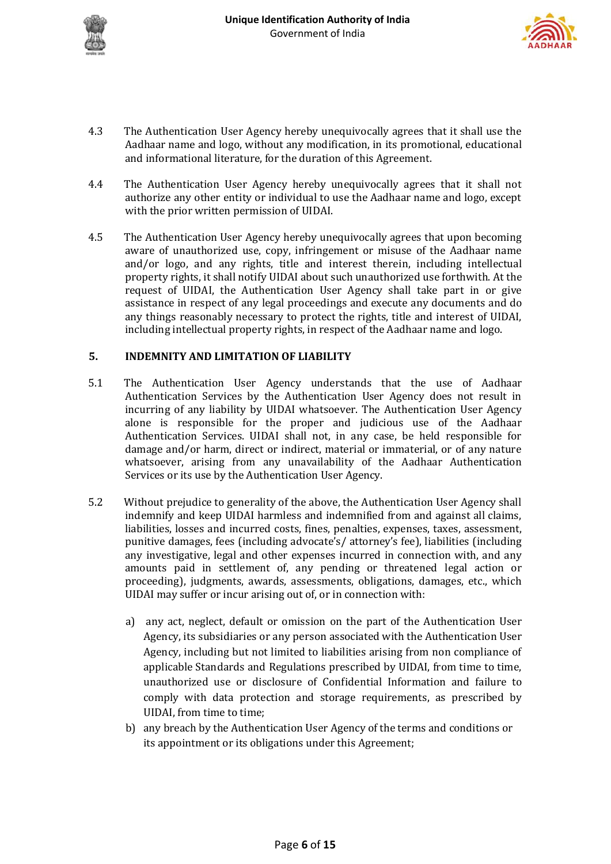



- 4.3 The Authentication User Agency hereby unequivocally agrees that it shall use the Aadhaar name and logo, without any modification, in its promotional, educational and informational literature, for the duration of this Agreement.
- 4.4 The Authentication User Agency hereby unequivocally agrees that it shall not authorize any other entity or individual to use the Aadhaar name and logo, except with the prior written permission of UIDAI.
- 4.5 The Authentication User Agency hereby unequivocally agrees that upon becoming aware of unauthorized use, copy, infringement or misuse of the Aadhaar name and/or logo, and any rights, title and interest therein, including intellectual property rights, it shall notify UIDAI about such unauthorized use forthwith. At the request of UIDAI, the Authentication User Agency shall take part in or give assistance in respect of any legal proceedings and execute any documents and do any things reasonably necessary to protect the rights, title and interest of UIDAI, including intellectual property rights, in respect of the Aadhaar name and logo.

# **5. INDEMNITY AND LIMITATION OF LIABILITY**

- 5.1 The Authentication User Agency understands that the use of Aadhaar Authentication Services by the Authentication User Agency does not result in incurring of any liability by UIDAI whatsoever. The Authentication User Agency alone is responsible for the proper and judicious use of the Aadhaar Authentication Services. UIDAI shall not, in any case, be held responsible for damage and/or harm, direct or indirect, material or immaterial, or of any nature whatsoever, arising from any unavailability of the Aadhaar Authentication Services or its use by the Authentication User Agency.
- 5.2 Without prejudice to generality of the above, the Authentication User Agency shall indemnify and keep UIDAI harmless and indemnified from and against all claims, liabilities, losses and incurred costs, fines, penalties, expenses, taxes, assessment, punitive damages, fees (including advocate's/ attorney's fee), liabilities (including any investigative, legal and other expenses incurred in connection with, and any amounts paid in settlement of, any pending or threatened legal action or proceeding), judgments, awards, assessments, obligations, damages, etc., which UIDAI may suffer or incur arising out of, or in connection with:
	- a) any act, neglect, default or omission on the part of the Authentication User Agency, its subsidiaries or any person associated with the Authentication User Agency, including but not limited to liabilities arising from non compliance of applicable Standards and Regulations prescribed by UIDAI, from time to time, unauthorized use or disclosure of Confidential Information and failure to comply with data protection and storage requirements, as prescribed by UIDAI, from time to time;
	- b) any breach by the Authentication User Agency of the terms and conditions or its appointment or its obligations under this Agreement;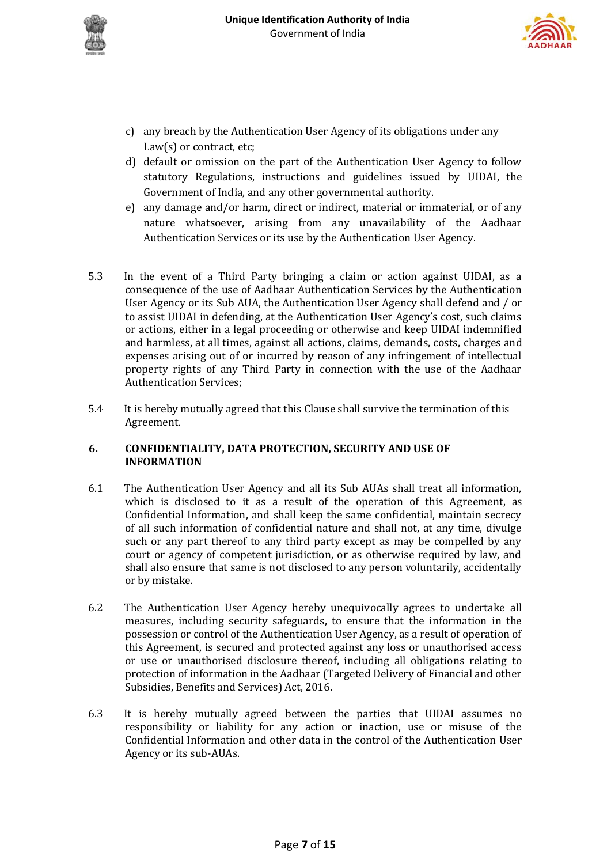



- c) any breach by the Authentication User Agency of its obligations under any Law(s) or contract, etc;
- d) default or omission on the part of the Authentication User Agency to follow statutory Regulations, instructions and guidelines issued by UIDAI, the Government of India, and any other governmental authority.
- e) any damage and/or harm, direct or indirect, material or immaterial, or of any nature whatsoever, arising from any unavailability of the Aadhaar Authentication Services or its use by the Authentication User Agency.
- 5.3 In the event of a Third Party bringing a claim or action against UIDAI, as a consequence of the use of Aadhaar Authentication Services by the Authentication User Agency or its Sub AUA, the Authentication User Agency shall defend and / or to assist UIDAI in defending, at the Authentication User Agency's cost, such claims or actions, either in a legal proceeding or otherwise and keep UIDAI indemnified and harmless, at all times, against all actions, claims, demands, costs, charges and expenses arising out of or incurred by reason of any infringement of intellectual property rights of any Third Party in connection with the use of the Aadhaar Authentication Services;
- 5.4 It is hereby mutually agreed that this Clause shall survive the termination of this Agreement.

# **6. CONFIDENTIALITY, DATA PROTECTION, SECURITY AND USE OF INFORMATION**

- 6.1 The Authentication User Agency and all its Sub AUAs shall treat all information, which is disclosed to it as a result of the operation of this Agreement, as Confidential Information, and shall keep the same confidential, maintain secrecy of all such information of confidential nature and shall not, at any time, divulge such or any part thereof to any third party except as may be compelled by any court or agency of competent jurisdiction, or as otherwise required by law, and shall also ensure that same is not disclosed to any person voluntarily, accidentally or by mistake.
- 6.2 The Authentication User Agency hereby unequivocally agrees to undertake all measures, including security safeguards, to ensure that the information in the possession or control of the Authentication User Agency, as a result of operation of this Agreement, is secured and protected against any loss or unauthorised access or use or unauthorised disclosure thereof, including all obligations relating to protection of information in the Aadhaar (Targeted Delivery of Financial and other Subsidies, Benefits and Services) Act, 2016.
- 6.3 It is hereby mutually agreed between the parties that UIDAI assumes no responsibility or liability for any action or inaction, use or misuse of the Confidential Information and other data in the control of the Authentication User Agency or its sub-AUAs.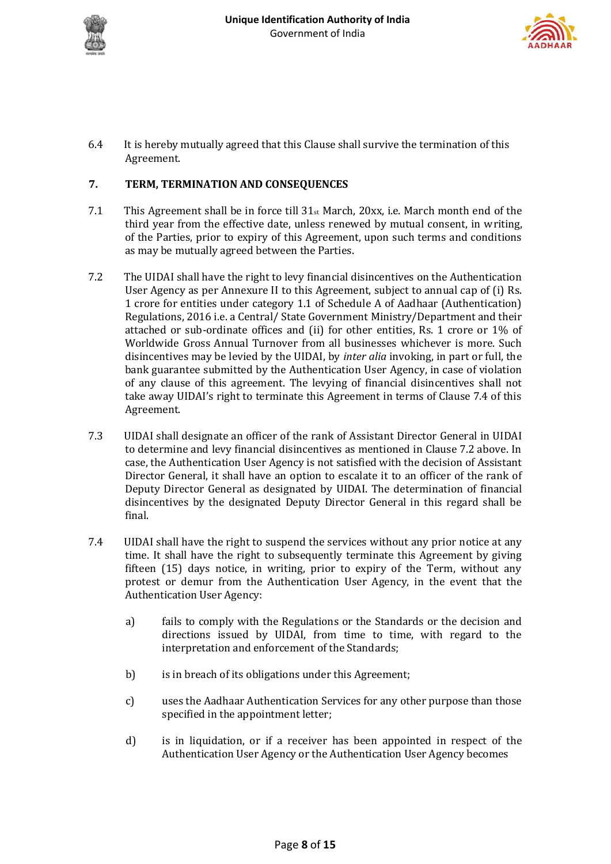



6.4 It is hereby mutually agreed that this Clause shall survive the termination of this Agreement.

# **7. TERM, TERMINATION AND CONSEQUENCES**

- 7.1 This Agreement shall be in force till  $31<sub>st</sub>$  March, 20xx, i.e. March month end of the third year from the effective date, unless renewed by mutual consent, in writing, of the Parties, prior to expiry of this Agreement, upon such terms and conditions as may be mutually agreed between the Parties.
- 7.2 The UIDAI shall have the right to levy financial disincentives on the Authentication User Agency as per Annexure II to this Agreement, subject to annual cap of (i) Rs. 1 crore for entities under category 1.1 of Schedule A of Aadhaar (Authentication) Regulations, 2016 i.e. a Central/ State Government Ministry/Department and their attached or sub-ordinate offices and (ii) for other entities, Rs. 1 crore or 1% of Worldwide Gross Annual Turnover from all businesses whichever is more. Such disincentives may be levied by the UIDAI, by *inter alia* invoking, in part or full, the bank guarantee submitted by the Authentication User Agency, in case of violation of any clause of this agreement. The levying of financial disincentives shall not take away UIDAI's right to terminate this Agreement in terms of Clause 7.4 of this Agreement.
- 7.3 UIDAI shall designate an officer of the rank of Assistant Director General in UIDAI to determine and levy financial disincentives as mentioned in Clause 7.2 above. In case, the Authentication User Agency is not satisfied with the decision of Assistant Director General, it shall have an option to escalate it to an officer of the rank of Deputy Director General as designated by UIDAI. The determination of financial disincentives by the designated Deputy Director General in this regard shall be final.
- 7.4 UIDAI shall have the right to suspend the services without any prior notice at any time. It shall have the right to subsequently terminate this Agreement by giving fifteen (15) days notice, in writing, prior to expiry of the Term, without any protest or demur from the Authentication User Agency, in the event that the Authentication User Agency:
	- a) fails to comply with the Regulations or the Standards or the decision and directions issued by UIDAI, from time to time, with regard to the interpretation and enforcement of the Standards;
	- b) is in breach of its obligations under this Agreement;
	- c) uses the Aadhaar Authentication Services for any other purpose than those specified in the appointment letter;
	- d) is in liquidation, or if a receiver has been appointed in respect of the Authentication User Agency or the Authentication User Agency becomes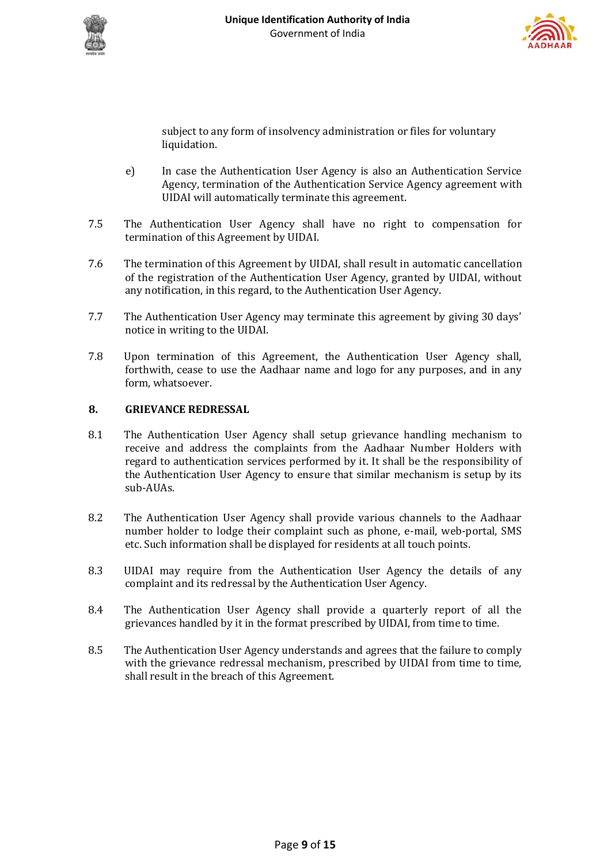



subject to any form of insolvency administration or files for voluntary liquidation.

- e) In case the Authentication User Agency is also an Authentication Service Agency, termination of the Authentication Service Agency agreement with UIDAI will automatically terminate this agreement.
- 7.5 The Authentication User Agency shall have no right to compensation for termination of this Agreement by UIDAI.
- 7.6 The termination of this Agreement by UIDAI, shall result in automatic cancellation of the registration of the Authentication User Agency, granted by UIDAI, without any notification, in this regard, to the Authentication User Agency.
- 7.7 The Authentication User Agency may terminate this agreement by giving 30 days' notice in writing to the UIDAI.
- 7.8 Upon termination of this Agreement, the Authentication User Agency shall, forthwith, cease to use the Aadhaar name and logo for any purposes, and in any form, whatsoever.

# **8. GRIEVANCE REDRESSAL**

- 8.1 The Authentication User Agency shall setup grievance handling mechanism to receive and address the complaints from the Aadhaar Number Holders with regard to authentication services performed by it. It shall be the responsibility of the Authentication User Agency to ensure that similar mechanism is setup by its sub-AUAs.
- 8.2 The Authentication User Agency shall provide various channels to the Aadhaar number holder to lodge their complaint such as phone, e-mail, web-portal, SMS etc. Such information shall be displayed for residents at all touch points.
- 8.3 UIDAI may require from the Authentication User Agency the details of any complaint and its redressal by the Authentication User Agency.
- 8.4 The Authentication User Agency shall provide a quarterly report of all the grievances handled by it in the format prescribed by UIDAI, from time to time.
- 8.5 The Authentication User Agency understands and agrees that the failure to comply with the grievance redressal mechanism, prescribed by UIDAI from time to time, shall result in the breach of this Agreement.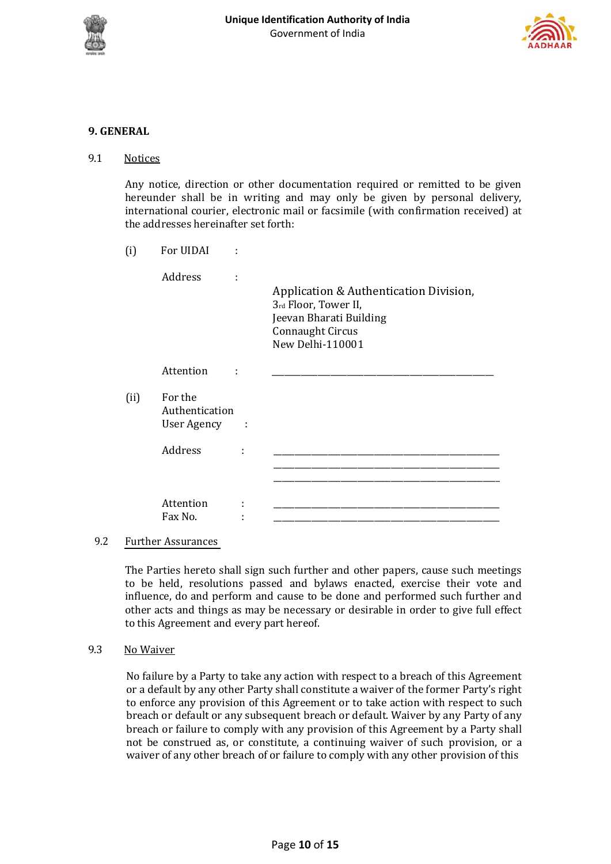



# **9. GENERAL**

## 9.1 Notices

Any notice, direction or other documentation required or remitted to be given hereunder shall be in writing and may only be given by personal delivery, international courier, electronic mail or facsimile (with confirmation received) at the addresses hereinafter set forth:

(i) For UIDAI :

|      | Address                                       | Application & Authentication Division,<br>3rd Floor, Tower II,<br>Jeevan Bharati Building<br><b>Connaught Circus</b><br>New Delhi-110001 |
|------|-----------------------------------------------|------------------------------------------------------------------------------------------------------------------------------------------|
|      | Attention                                     |                                                                                                                                          |
| (ii) | For the<br>Authentication<br>User Agency<br>÷ |                                                                                                                                          |
|      | Address<br>İ                                  |                                                                                                                                          |
|      |                                               |                                                                                                                                          |
|      | Attention<br>٠<br>Fax No.                     |                                                                                                                                          |

#### 9.2 Further Assurances

The Parties hereto shall sign such further and other papers, cause such meetings to be held, resolutions passed and bylaws enacted, exercise their vote and influence, do and perform and cause to be done and performed such further and other acts and things as may be necessary or desirable in order to give full effect to this Agreement and every part hereof.

#### 9.3 No Waiver

No failure by a Party to take any action with respect to a breach of this Agreement or a default by any other Party shall constitute a waiver of the former Party's right to enforce any provision of this Agreement or to take action with respect to such breach or default or any subsequent breach or default. Waiver by any Party of any breach or failure to comply with any provision of this Agreement by a Party shall not be construed as, or constitute, a continuing waiver of such provision, or a waiver of any other breach of or failure to comply with any other provision of this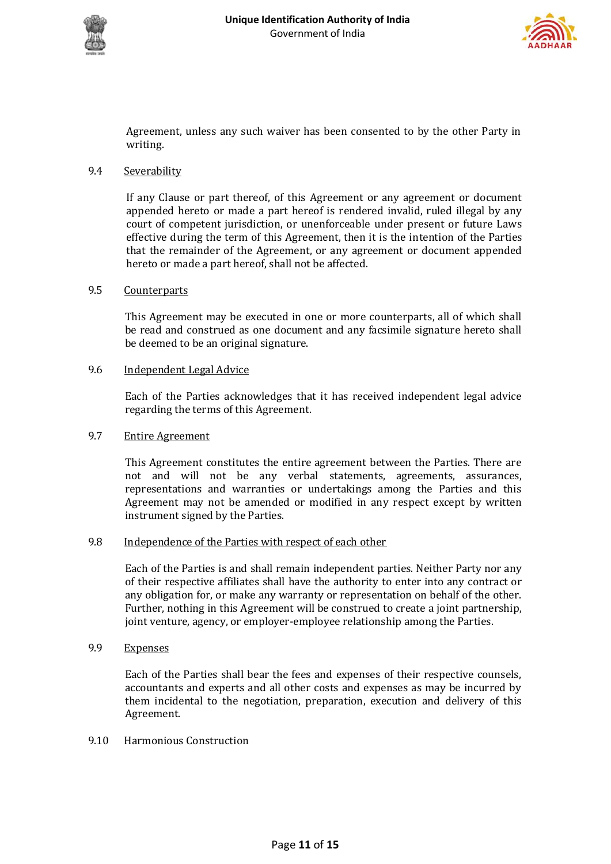



Agreement, unless any such waiver has been consented to by the other Party in writing.

## 9.4 Severability

If any Clause or part thereof, of this Agreement or any agreement or document appended hereto or made a part hereof is rendered invalid, ruled illegal by any court of competent jurisdiction, or unenforceable under present or future Laws effective during the term of this Agreement, then it is the intention of the Parties that the remainder of the Agreement, or any agreement or document appended hereto or made a part hereof, shall not be affected.

## 9.5 Counterparts

This Agreement may be executed in one or more counterparts, all of which shall be read and construed as one document and any facsimile signature hereto shall be deemed to be an original signature.

## 9.6 Independent Legal Advice

Each of the Parties acknowledges that it has received independent legal advice regarding the terms of this Agreement.

# 9.7 Entire Agreement

This Agreement constitutes the entire agreement between the Parties. There are not and will not be any verbal statements, agreements, assurances, representations and warranties or undertakings among the Parties and this Agreement may not be amended or modified in any respect except by written instrument signed by the Parties.

## 9.8 Independence of the Parties with respect of each other

Each of the Parties is and shall remain independent parties. Neither Party nor any of their respective affiliates shall have the authority to enter into any contract or any obligation for, or make any warranty or representation on behalf of the other. Further, nothing in this Agreement will be construed to create a joint partnership, joint venture, agency, or employer-employee relationship among the Parties.

## 9.9 Expenses

Each of the Parties shall bear the fees and expenses of their respective counsels, accountants and experts and all other costs and expenses as may be incurred by them incidental to the negotiation, preparation, execution and delivery of this Agreement.

## 9.10 Harmonious Construction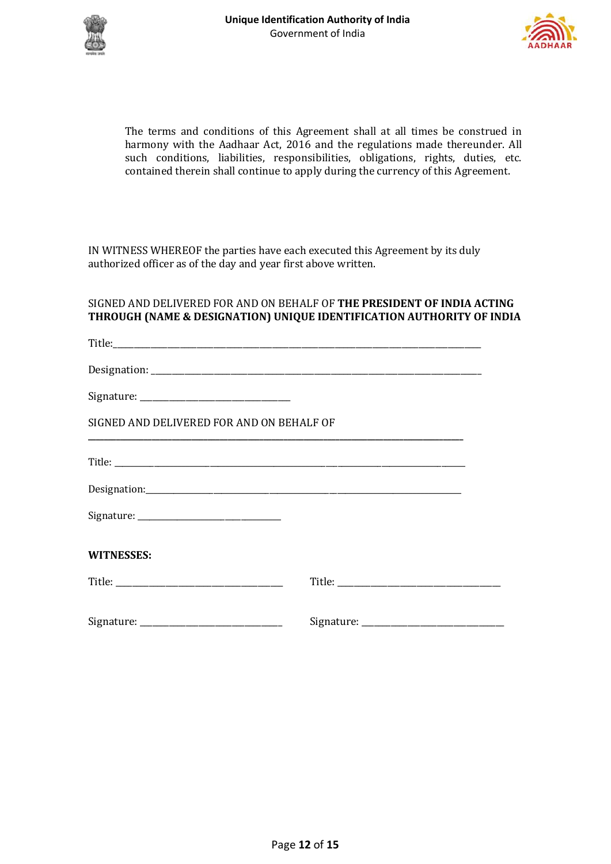



The terms and conditions of this Agreement shall at all times be construed in harmony with the Aadhaar Act, 2016 and the regulations made thereunder. All such conditions, liabilities, responsibilities, obligations, rights, duties, etc. contained therein shall continue to apply during the currency of this Agreement.

IN WITNESS WHEREOF the parties have each executed this Agreement by its duly authorized officer as of the day and year first above written.

# SIGNED AND DELIVERED FOR AND ON BEHALF OF **THE PRESIDENT OF INDIA ACTING THROUGH (NAME & DESIGNATION) UNIQUE IDENTIFICATION AUTHORITY OF INDIA**

| SIGNED AND DELIVERED FOR AND ON BEHALF OF<br><u> 1989 - Johann Harry Harry Harry Harry Harry Harry Harry Harry Harry Harry Harry Harry Harry Harry Harry Harry</u> |  |
|--------------------------------------------------------------------------------------------------------------------------------------------------------------------|--|
|                                                                                                                                                                    |  |
|                                                                                                                                                                    |  |
|                                                                                                                                                                    |  |
| <b>WITNESSES:</b>                                                                                                                                                  |  |
|                                                                                                                                                                    |  |
|                                                                                                                                                                    |  |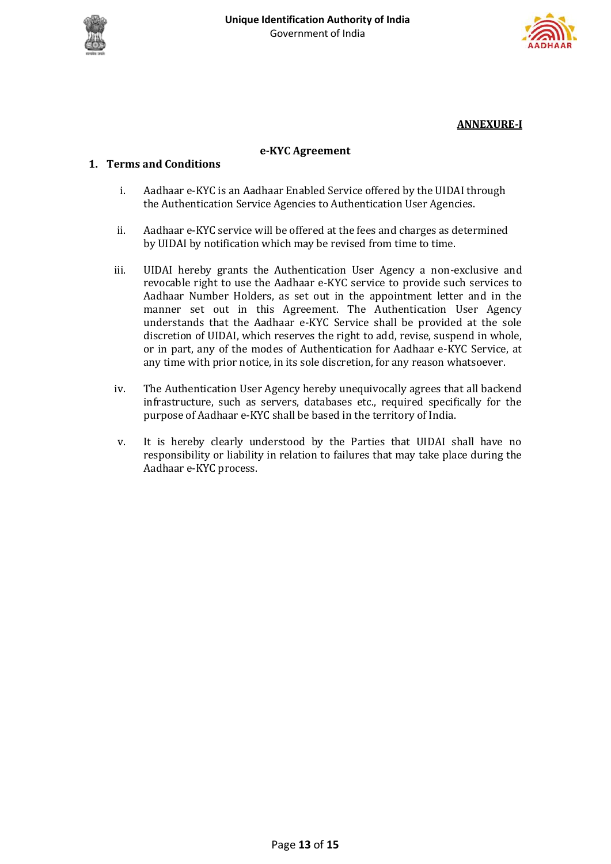



**ANNEXURE-I**

## **e-KYC Agreement**

# **1. Terms and Conditions**

- i. Aadhaar e-KYC is an Aadhaar Enabled Service offered by the UIDAI through the Authentication Service Agencies to Authentication User Agencies.
- ii. Aadhaar e-KYC service will be offered at the fees and charges as determined by UIDAI by notification which may be revised from time to time.
- iii. UIDAI hereby grants the Authentication User Agency a non-exclusive and revocable right to use the Aadhaar e-KYC service to provide such services to Aadhaar Number Holders, as set out in the appointment letter and in the manner set out in this Agreement. The Authentication User Agency understands that the Aadhaar e-KYC Service shall be provided at the sole discretion of UIDAI, which reserves the right to add, revise, suspend in whole, or in part, any of the modes of Authentication for Aadhaar e-KYC Service, at any time with prior notice, in its sole discretion, for any reason whatsoever.
- iv. The Authentication User Agency hereby unequivocally agrees that all backend infrastructure, such as servers, databases etc., required specifically for the purpose of Aadhaar e-KYC shall be based in the territory of India.
- v. It is hereby clearly understood by the Parties that UIDAI shall have no responsibility or liability in relation to failures that may take place during the Aadhaar e-KYC process.